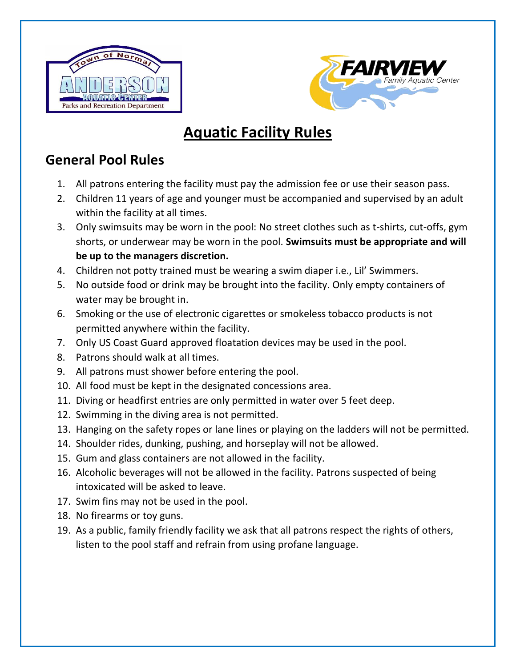



# **Aquatic Facility Rules**

### **General Pool Rules**

- 1. All patrons entering the facility must pay the admission fee or use their season pass.
- 2. Children 11 years of age and younger must be accompanied and supervised by an adult within the facility at all times.
- 3. Only swimsuits may be worn in the pool: No street clothes such as t-shirts, cut-offs, gym shorts, or underwear may be worn in the pool. **Swimsuits must be appropriate and will be up to the managers discretion.**
- 4. Children not potty trained must be wearing a swim diaper i.e., Lil' Swimmers.
- 5. No outside food or drink may be brought into the facility. Only empty containers of water may be brought in.
- 6. Smoking or the use of electronic cigarettes or smokeless tobacco products is not permitted anywhere within the facility.
- 7. Only US Coast Guard approved floatation devices may be used in the pool.
- 8. Patrons should walk at all times.
- 9. All patrons must shower before entering the pool.
- 10. All food must be kept in the designated concessions area.
- 11. Diving or headfirst entries are only permitted in water over 5 feet deep.
- 12. Swimming in the diving area is not permitted.
- 13. Hanging on the safety ropes or lane lines or playing on the ladders will not be permitted.
- 14. Shoulder rides, dunking, pushing, and horseplay will not be allowed.
- 15. Gum and glass containers are not allowed in the facility.
- 16. Alcoholic beverages will not be allowed in the facility. Patrons suspected of being intoxicated will be asked to leave.
- 17. Swim fins may not be used in the pool.
- 18. No firearms or toy guns.
- 19. As a public, family friendly facility we ask that all patrons respect the rights of others, listen to the pool staff and refrain from using profane language.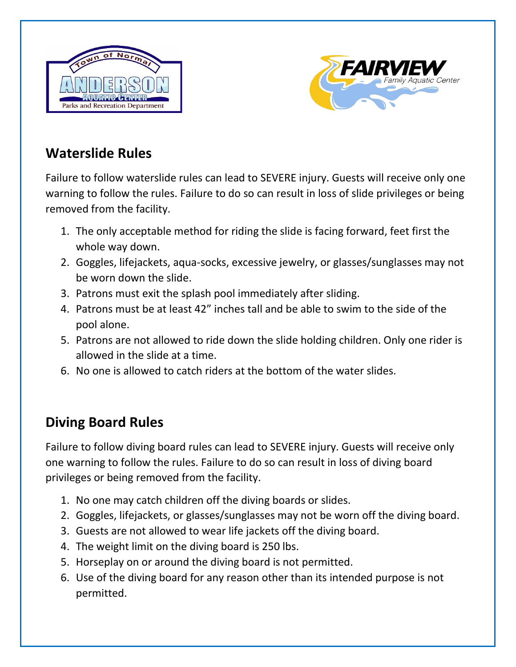



# **Waterslide Rules**

Failure to follow waterslide rules can lead to SEVERE injury. Guests will receive only one warning to follow the rules. Failure to do so can result in loss of slide privileges or being removed from the facility.

- 1. The only acceptable method for riding the slide is facing forward, feet first the whole way down.
- 2. Goggles, lifejackets, aqua-socks, excessive jewelry, or glasses/sunglasses may not be worn down the slide.
- 3. Patrons must exit the splash pool immediately after sliding.
- 4. Patrons must be at least 42" inches tall and be able to swim to the side of the pool alone.
- 5. Patrons are not allowed to ride down the slide holding children. Only one rider is allowed in the slide at a time.
- 6. No one is allowed to catch riders at the bottom of the water slides.

### **Diving Board Rules**

Failure to follow diving board rules can lead to SEVERE injury. Guests will receive only one warning to follow the rules. Failure to do so can result in loss of diving board privileges or being removed from the facility.

- 1. No one may catch children off the diving boards or slides.
- 2. Goggles, lifejackets, or glasses/sunglasses may not be worn off the diving board.
- 3. Guests are not allowed to wear life jackets off the diving board.
- 4. The weight limit on the diving board is 250 lbs.
- 5. Horseplay on or around the diving board is not permitted.
- 6. Use of the diving board for any reason other than its intended purpose is not permitted.